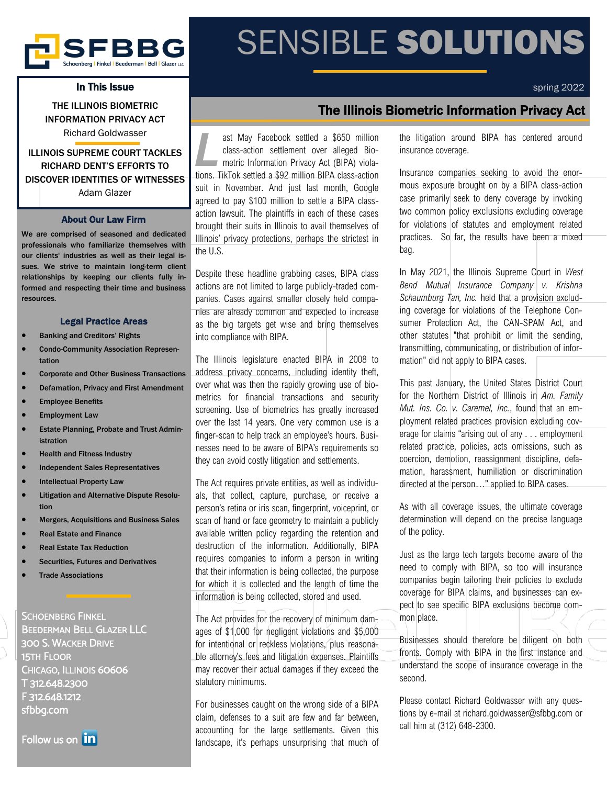

### In This Issue

THE ILLINOIS BIOMETRIC INFORMATION PRIVACY ACT Richard Goldwasser

### ILLINOIS SUPREME COURT TACKLES RICHARD DENT'S EFFORTS TO DISCOVER IDENTITIES OF WITNESSES Adam Glazer

### About Our Law Firm

We are comprised of seasoned and dedicated professionals who familiarize themselves with our clients' industries as well as their legal issues. We strive to maintain long-term client relationships by keeping our clients fully informed and respecting their time and business resources.

### Legal Practice Areas

- Banking and Creditors' Rights
- Condo-Community Association Representation
- Corporate and Other Business Transactions
- Defamation, Privacy and First Amendment
- **Employee Benefits**
- **Employment Law**
- Estate Planning, Probate and Trust Administration
- Health and Fitness Industry
- Independent Sales Representatives
- **Intellectual Property Law**
- Litigation and Alternative Dispute Resolution
- Mergers, Acquisitions and Business Sales
- Real Estate and Finance
- Real Estate Tax Reduction
- Securities, Futures and Derivatives
- **Trade Associations**

SCHOENBERG FINKEL BEEDERMAN BELL GLAZER LLC 300 S. WACKER DRIVE 15TH FLOOR CHICAGO, ILLINOIS 60606 T 312.648.2300 F 312.648.1212 sfbbg.com

Follow us on **in** 

# SENSIBLE SOLUTIONS

spring 2022

## The Illinois Biometric Information Privacy Act

*L* ast May Facebook settled a \$650 million class-action settlement over alleged Biometric Information Privacy Act (BIPA) violations. TikTok settled a \$92 million BIPA class-action suit in November. And just last month, Google agreed to pay \$100 million to settle a BIPA classaction lawsuit. The plaintiffs in each of these cases brought their suits in Illinois to avail themselves of Illinois' privacy protections, perhaps the strictest in the U.S.

Despite these headline grabbing cases, BIPA class actions are not limited to large publicly-traded companies. Cases against smaller closely held companies are already common and expected to increase as the big targets get wise and bring themselves into compliance with BIPA.

The Illinois legislature enacted BIPA in 2008 to address privacy concerns, including identity theft, over what was then the rapidly growing use of biometrics for financial transactions and security screening. Use of biometrics has greatly increased over the last 14 years. One very common use is a finger-scan to help track an employee's hours. Businesses need to be aware of BIPA's requirements so they can avoid costly litigation and settlements.

The Act requires private entities, as well as individuals, that collect, capture, purchase, or receive a person's retina or iris scan, fingerprint, voiceprint, or scan of hand or face geometry to maintain a publicly available written policy regarding the retention and destruction of the information. Additionally, BIPA requires companies to inform a person in writing that their information is being collected, the purpose for which it is collected and the length of time the information is being collected, stored and used.

The Act provides for the recovery of minimum damages of \$1,000 for negligent violations and \$5,000 for intentional or reckless violations, plus reasonable attorney's fees and litigation expenses. Plaintiffs may recover their actual damages if they exceed the statutory minimums.

For businesses caught on the wrong side of a BIPA claim, defenses to a suit are few and far between, accounting for the large settlements. Given this landscape, it's perhaps unsurprising that much of the litigation around BIPA has centered around insurance coverage.

Insurance companies seeking to avoid the enormous exposure brought on by a BIPA class-action case primarily seek to deny coverage by invoking two common policy exclusions excluding coverage for violations of statutes and employment related practices. So far, the results have been a mixed bag.

In May 2021, the Illinois Supreme Court in *West Bend Mutual Insurance Company v. Krishna Schaumburg Tan, Inc.* held that a provision excluding coverage for violations of the Telephone Consumer Protection Act, the CAN-SPAM Act, and other statutes "that prohibit or limit the sending, transmitting, communicating, or distribution of information" did not apply to BIPA cases.

This past January, the United States District Court for the Northern District of Illinois in *Am. Family Mut. Ins. Co. v. Caremel, Inc.*, found that an employment related practices provision excluding coverage for claims "arising out of any . . . employment related practice, policies, acts omissions, such as coercion, demotion, reassignment discipline, defamation, harassment, humiliation or discrimination directed at the person…" applied to BIPA cases.

As with all coverage issues, the ultimate coverage determination will depend on the precise language of the policy.

Just as the large tech targets become aware of the need to comply with BIPA, so too will insurance companies begin tailoring their policies to exclude coverage for BIPA claims, and businesses can expect to see specific BIPA exclusions become common place.

Businesses should therefore be diligent on both fronts. Comply with BIPA in the first instance and understand the scope of insurance coverage in the second.

Please contact Richard Goldwasser with any questions by e-mail at richard.goldwasser@sfbbg.com or call him at (312) 648-2300.